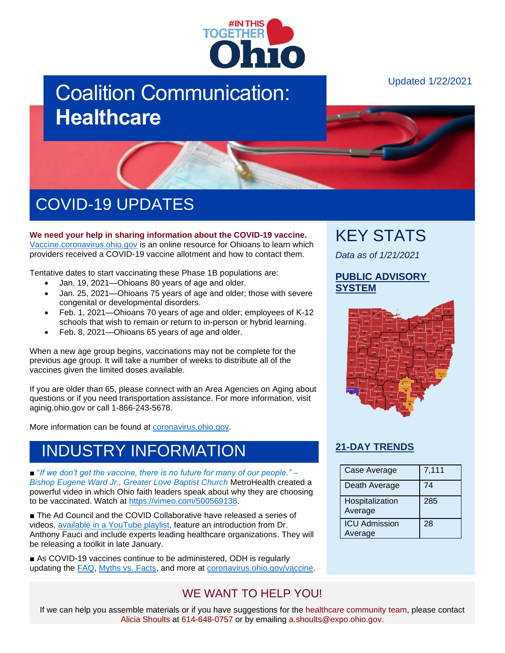

# Coalition Communication: **Healthcare**

#### Updated 1/22/2021



# COVID-19 UPDATES

**We need your help in sharing information about the COVID-19 vaccine.** [Vaccine.coronavirus.ohio.gov](https://vaccine.coronavirus.ohio.gov/) is an online resource for Ohioans to learn which providers received a COVID-19 vaccine allotment and how to contact them.

Tentative dates to start vaccinating these Phase 1B populations are:

- Jan. 19, 2021—Ohioans 80 years of age and older.
- Jan. 25, 2021—Ohioans 75 years of age and older; those with severe congenital or developmental disorders.
- Feb. 1, 2021—Ohioans 70 years of age and older; employees of K-12 schools that wish to remain or return to in-person or hybrid learning.
- Feb. 8, 2021—Ohioans 65 years of age and older.

When a new age group begins, vaccinations may not be complete for the previous age group. It will take a number of weeks to distribute all of the vaccines given the limited doses available.

If you are older than 65, please connect with an Area Agencies on Aging about questions or if you need transportation assistance. For more information, visit aginig.ohio.gov or call 1-866-243-5678.

More information can be found at [coronavirus.ohio.gov.](https://coronavirus.ohio.gov/wps/portal/gov/covid-19/covid-19-vaccination-program)

### INDUSTRY INFORMATION

■ "*If we don't get the vaccine, there is no future for many of our people.*" – *Bishop Eugene Ward Jr., Greater Love Baptist Church* MetroHealth created a powerful video in which Ohio faith leaders speak about why they are choosing to be vaccinated. Watch at [https://vimeo.com/500569138.](https://vimeo.com/500569138)

■ The Ad Council and the COVID Collaborative have released a series of videos, [available in a YouTube playlist,](https://www.youtube.com/playlist?list=PLdSSKSOSBh4mcQbLK0NnLo8iP5TNqUCOf&webSyncID=29643646-a805-6712-25c8-66caa3a069ea&sessionGUID=143c4bad-eea0-1c4a-2853-e70a76379bdd) feature an introduction from Dr. Anthony Fauci and include experts leading healthcare organizations. They will be releasing a toolkit in late January.

■ As COVID-19 vaccines continue to be administered, ODH is regularly updating the [FAQ,](https://coronavirus.ohio.gov/wps/portal/gov/covid-19/resources/general-resources/frequently-asked-questions+covid-19-vaccine) [Myths vs. Facts,](https://coronavirus.ohio.gov/wps/portal/gov/covid-19/covid-19-vaccination-program/19-vaccine-myths-vs-facts/19-vaccine-myths-vs-facts) and more at [coronavirus.ohio.gov/vaccine.](https://coronavirus.ohio.gov/wps/portal/gov/covid-19/covid-19-vaccination-program/welcome/covid-19-vaccination-program)

# KEY STATS

*Data as of 1/21/2021*

#### **[PUBLIC ADVISORY](https://coronavirus.ohio.gov/wps/portal/gov/covid-19/public-health-advisory-system)  [SYSTEM](https://coronavirus.ohio.gov/wps/portal/gov/covid-19/public-health-advisory-system)**



### **[21-DAY TRENDS](https://coronavirus.ohio.gov/wps/portal/gov/covid-19/dashboards/current-trends)**

| Case Average                    | 7,111 |
|---------------------------------|-------|
| Death Average                   | 74    |
| Hospitalization<br>Average      | 285   |
| <b>ICU Admission</b><br>Average | 28    |

### WE WANT TO HELP YOU!

If we can help you assemble materials or if you have suggestions for the healthcare community team, please contact Alicia Shoults at 614-648-0757 or by emailing a.shoults@expo.ohio.gov.